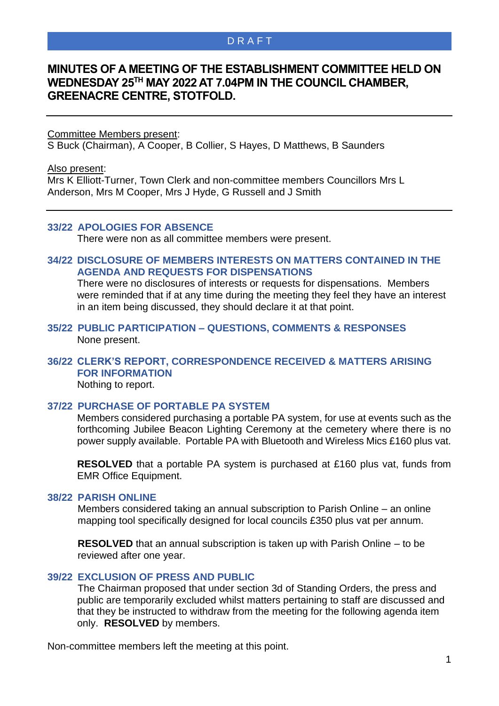# D R A F T

# **MINUTES OF A MEETING OF THE ESTABLISHMENT COMMITTEE HELD ON WEDNESDAY 25TH MAY 2022 AT 7.04PM IN THE COUNCIL CHAMBER, GREENACRE CENTRE, STOTFOLD.**

Committee Members present:

S Buck (Chairman), A Cooper, B Collier, S Hayes, D Matthews, B Saunders

Also present:

Mrs K Elliott-Turner, Town Clerk and non-committee members Councillors Mrs L Anderson, Mrs M Cooper, Mrs J Hyde, G Russell and J Smith

### **33/22 APOLOGIES FOR ABSENCE**

There were non as all committee members were present.

#### **34/22 DISCLOSURE OF MEMBERS INTERESTS ON MATTERS CONTAINED IN THE AGENDA AND REQUESTS FOR DISPENSATIONS**

There were no disclosures of interests or requests for dispensations. Members were reminded that if at any time during the meeting they feel they have an interest in an item being discussed, they should declare it at that point.

#### **35/22 PUBLIC PARTICIPATION – QUESTIONS, COMMENTS & RESPONSES** None present.

#### **36/22 CLERK'S REPORT, CORRESPONDENCE RECEIVED & MATTERS ARISING FOR INFORMATION** Nothing to report.

### **37/22 PURCHASE OF PORTABLE PA SYSTEM**

Members considered purchasing a portable PA system, for use at events such as the forthcoming Jubilee Beacon Lighting Ceremony at the cemetery where there is no power supply available. Portable PA with Bluetooth and Wireless Mics £160 plus vat.

**RESOLVED** that a portable PA system is purchased at £160 plus vat, funds from EMR Office Equipment.

#### **38/22 PARISH ONLINE**

Members considered taking an annual subscription to Parish Online – an online mapping tool specifically designed for local councils £350 plus vat per annum.

**RESOLVED** that an annual subscription is taken up with Parish Online – to be reviewed after one year.

#### **39/22 EXCLUSION OF PRESS AND PUBLIC**

The Chairman proposed that under section 3d of Standing Orders, the press and public are temporarily excluded whilst matters pertaining to staff are discussed and that they be instructed to withdraw from the meeting for the following agenda item only. **RESOLVED** by members.

Non-committee members left the meeting at this point.